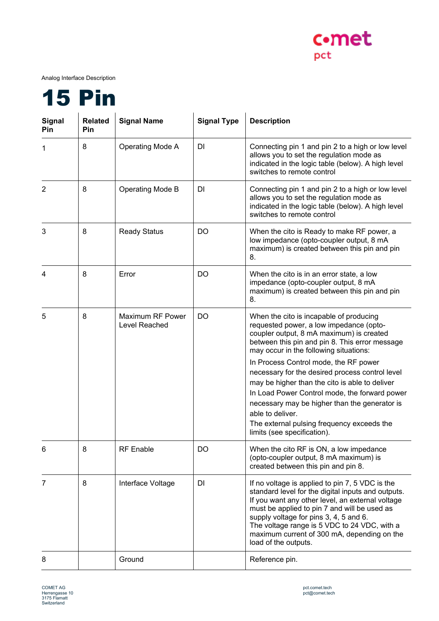

Analog Interface Description



| <b>Signal</b><br>Pin | <b>Related</b><br>Pin | <b>Signal Name</b>                | <b>Signal Type</b> | <b>Description</b>                                                                                                                                                                                                                                                                                                                                                                                                                                                                                                                                                          |
|----------------------|-----------------------|-----------------------------------|--------------------|-----------------------------------------------------------------------------------------------------------------------------------------------------------------------------------------------------------------------------------------------------------------------------------------------------------------------------------------------------------------------------------------------------------------------------------------------------------------------------------------------------------------------------------------------------------------------------|
| 1                    | 8                     | Operating Mode A                  | DI                 | Connecting pin 1 and pin 2 to a high or low level<br>allows you to set the regulation mode as<br>indicated in the logic table (below). A high level<br>switches to remote control                                                                                                                                                                                                                                                                                                                                                                                           |
| 2                    | 8                     | <b>Operating Mode B</b>           | DI                 | Connecting pin 1 and pin 2 to a high or low level<br>allows you to set the regulation mode as<br>indicated in the logic table (below). A high level<br>switches to remote control                                                                                                                                                                                                                                                                                                                                                                                           |
| 3                    | 8                     | <b>Ready Status</b>               | DO                 | When the cito is Ready to make RF power, a<br>low impedance (opto-coupler output, 8 mA<br>maximum) is created between this pin and pin<br>8.                                                                                                                                                                                                                                                                                                                                                                                                                                |
| 4                    | 8                     | Error                             | DO                 | When the cito is in an error state, a low<br>impedance (opto-coupler output, 8 mA<br>maximum) is created between this pin and pin<br>8.                                                                                                                                                                                                                                                                                                                                                                                                                                     |
| 5                    | 8                     | Maximum RF Power<br>Level Reached | DO                 | When the cito is incapable of producing<br>requested power, a low impedance (opto-<br>coupler output, 8 mA maximum) is created<br>between this pin and pin 8. This error message<br>may occur in the following situations:<br>In Process Control mode, the RF power<br>necessary for the desired process control level<br>may be higher than the cito is able to deliver<br>In Load Power Control mode, the forward power<br>necessary may be higher than the generator is<br>able to deliver.<br>The external pulsing frequency exceeds the<br>limits (see specification). |
| 6                    | 8                     | <b>RF</b> Enable                  | DO                 | When the cito RF is ON, a low impedance<br>(opto-coupler output, 8 mA maximum) is<br>created between this pin and pin 8.                                                                                                                                                                                                                                                                                                                                                                                                                                                    |
| 7                    | 8                     | Interface Voltage                 | DI                 | If no voltage is applied to pin 7, 5 VDC is the<br>standard level for the digital inputs and outputs.<br>If you want any other level, an external voltage<br>must be applied to pin 7 and will be used as<br>supply voltage for pins 3, 4, 5 and 6.<br>The voltage range is 5 VDC to 24 VDC, with a<br>maximum current of 300 mA, depending on the<br>load of the outputs.                                                                                                                                                                                                  |
| 8                    |                       | Ground                            |                    | Reference pin.                                                                                                                                                                                                                                                                                                                                                                                                                                                                                                                                                              |